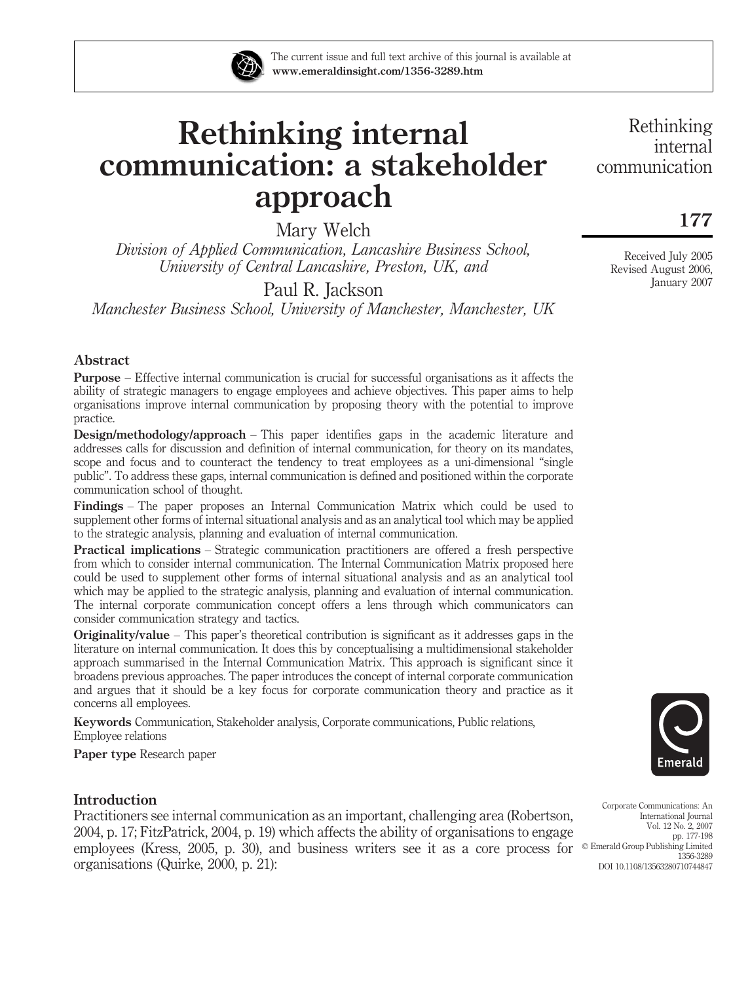

The current issue and full text archive of this journal is available at www.emeraldinsight.com/1356-3289.htm

# Rethinking internal communication: a stakeholder approach

Mary Welch

Division of Applied Communication, Lancashire Business School, University of Central Lancashire, Preston, UK, and

Paul R. Jackson Manchester Business School, University of Manchester, Manchester, UK

Rethinking internal communication

177

Received July 2005 Revised August 2006, January 2007

# Abstract

Purpose – Effective internal communication is crucial for successful organisations as it affects the ability of strategic managers to engage employees and achieve objectives. This paper aims to help organisations improve internal communication by proposing theory with the potential to improve practice.

Design/methodology/approach – This paper identifies gaps in the academic literature and addresses calls for discussion and definition of internal communication, for theory on its mandates, scope and focus and to counteract the tendency to treat employees as a uni-dimensional "single public". To address these gaps, internal communication is defined and positioned within the corporate communication school of thought.

Findings – The paper proposes an Internal Communication Matrix which could be used to supplement other forms of internal situational analysis and as an analytical tool which may be applied to the strategic analysis, planning and evaluation of internal communication.

Practical implications – Strategic communication practitioners are offered a fresh perspective from which to consider internal communication. The Internal Communication Matrix proposed here could be used to supplement other forms of internal situational analysis and as an analytical tool which may be applied to the strategic analysis, planning and evaluation of internal communication. The internal corporate communication concept offers a lens through which communicators can consider communication strategy and tactics.

**Originality/value** – This paper's theoretical contribution is significant as it addresses gaps in the literature on internal communication. It does this by conceptualising a multidimensional stakeholder approach summarised in the Internal Communication Matrix. This approach is significant since it broadens previous approaches. The paper introduces the concept of internal corporate communication and argues that it should be a key focus for corporate communication theory and practice as it concerns all employees.

Keywords Communication, Stakeholder analysis, Corporate communications, Public relations, Employee relations

Paper type Research paper

# **Introduction**

Practitioners see internal communication as an important, challenging area (Robertson, 2004, p. 17; FitzPatrick, 2004, p. 19) which affects the ability of organisations to engage employees (Kress, 2005, p. 30), and business writers see it as a core process for organisations (Quirke, 2000, p. 21):

Corporate Communications: An International Journal Vol. 12 No. 2, 2007 pp. 177-198  $©$  Emerald Group Publishing Limited 1356-3289

DOI 10.1108/13563280710744847

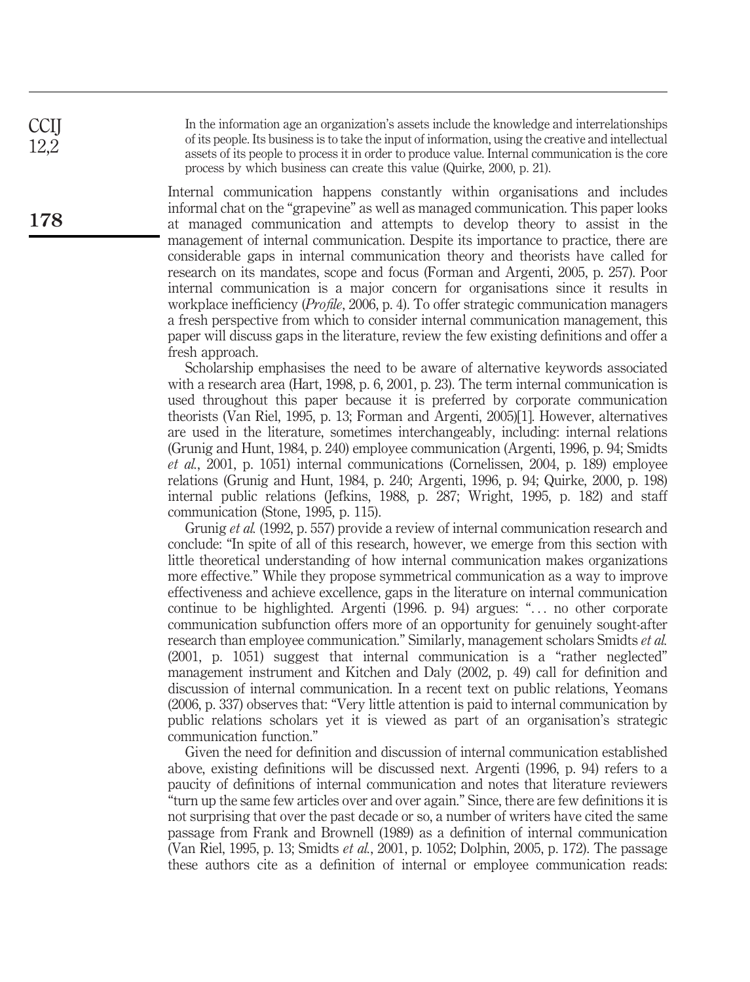In the information age an organization's assets include the knowledge and interrelationships of its people. Its business is to take the input of information, using the creative and intellectual assets of its people to process it in order to produce value. Internal communication is the core process by which business can create this value (Quirke, 2000, p. 21).

Internal communication happens constantly within organisations and includes informal chat on the "grapevine" as well as managed communication. This paper looks at managed communication and attempts to develop theory to assist in the management of internal communication. Despite its importance to practice, there are considerable gaps in internal communication theory and theorists have called for research on its mandates, scope and focus (Forman and Argenti, 2005, p. 257). Poor internal communication is a major concern for organisations since it results in workplace inefficiency (*Profile*, 2006, p. 4). To offer strategic communication managers a fresh perspective from which to consider internal communication management, this paper will discuss gaps in the literature, review the few existing definitions and offer a fresh approach.

Scholarship emphasises the need to be aware of alternative keywords associated with a research area (Hart, 1998, p. 6, 2001, p. 23). The term internal communication is used throughout this paper because it is preferred by corporate communication theorists (Van Riel, 1995, p. 13; Forman and Argenti, 2005)[1]. However, alternatives are used in the literature, sometimes interchangeably, including: internal relations (Grunig and Hunt, 1984, p. 240) employee communication (Argenti, 1996, p. 94; Smidts et al., 2001, p. 1051) internal communications (Cornelissen, 2004, p. 189) employee relations (Grunig and Hunt, 1984, p. 240; Argenti, 1996, p. 94; Quirke, 2000, p. 198) internal public relations (Jefkins, 1988, p. 287; Wright, 1995, p. 182) and staff communication (Stone, 1995, p. 115).

Grunig et al. (1992, p. 557) provide a review of internal communication research and conclude: "In spite of all of this research, however, we emerge from this section with little theoretical understanding of how internal communication makes organizations more effective." While they propose symmetrical communication as a way to improve effectiveness and achieve excellence, gaps in the literature on internal communication continue to be highlighted. Argenti (1996. p. 94) argues: "... no other corporate communication subfunction offers more of an opportunity for genuinely sought-after research than employee communication." Similarly, management scholars Smidts et al. (2001, p. 1051) suggest that internal communication is a "rather neglected" management instrument and Kitchen and Daly (2002, p. 49) call for definition and discussion of internal communication. In a recent text on public relations, Yeomans (2006, p. 337) observes that: "Very little attention is paid to internal communication by public relations scholars yet it is viewed as part of an organisation's strategic communication function."

Given the need for definition and discussion of internal communication established above, existing definitions will be discussed next. Argenti (1996, p. 94) refers to a paucity of definitions of internal communication and notes that literature reviewers "turn up the same few articles over and over again." Since, there are few definitions it is not surprising that over the past decade or so, a number of writers have cited the same passage from Frank and Brownell (1989) as a definition of internal communication (Van Riel, 1995, p. 13; Smidts et al., 2001, p. 1052; Dolphin, 2005, p. 172). The passage these authors cite as a definition of internal or employee communication reads: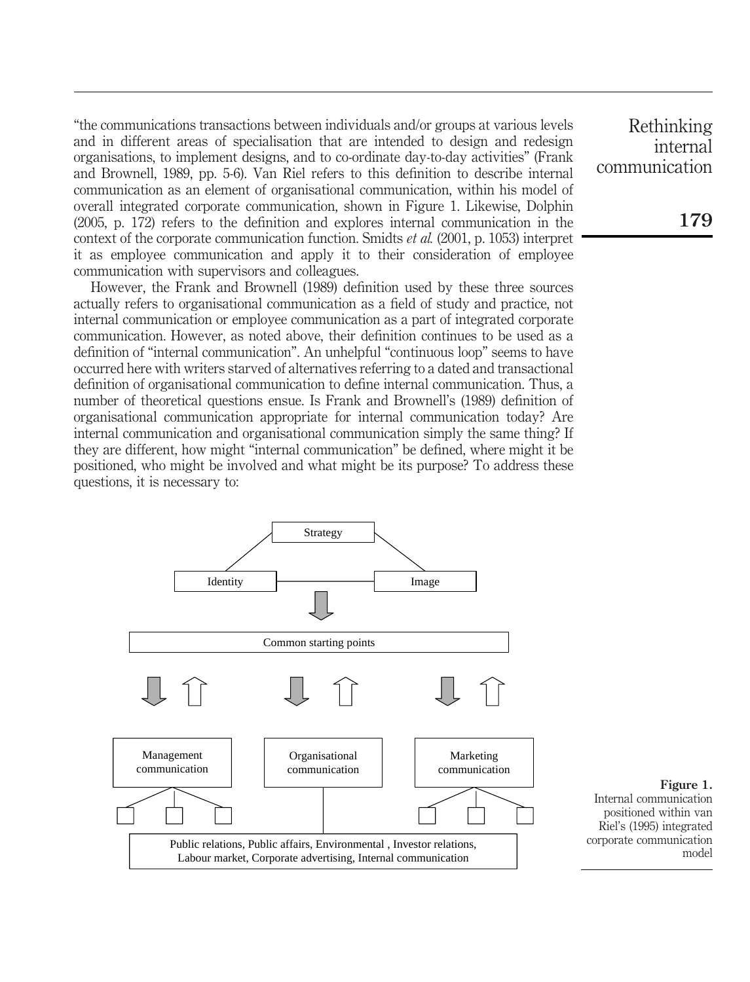"the communications transactions between individuals and/or groups at various levels and in different areas of specialisation that are intended to design and redesign organisations, to implement designs, and to co-ordinate day-to-day activities" (Frank and Brownell, 1989, pp. 5-6). Van Riel refers to this definition to describe internal communication as an element of organisational communication, within his model of overall integrated corporate communication, shown in Figure 1. Likewise, Dolphin (2005, p. 172) refers to the definition and explores internal communication in the context of the corporate communication function. Smidts et al. (2001, p. 1053) interpret it as employee communication and apply it to their consideration of employee communication with supervisors and colleagues.

However, the Frank and Brownell (1989) definition used by these three sources actually refers to organisational communication as a field of study and practice, not internal communication or employee communication as a part of integrated corporate communication. However, as noted above, their definition continues to be used as a definition of "internal communication". An unhelpful "continuous loop" seems to have occurred here with writers starved of alternatives referring to a dated and transactional definition of organisational communication to define internal communication. Thus, a number of theoretical questions ensue. Is Frank and Brownell's (1989) definition of organisational communication appropriate for internal communication today? Are internal communication and organisational communication simply the same thing? If they are different, how might "internal communication" be defined, where might it be positioned, who might be involved and what might be its purpose? To address these questions, it is necessary to:



Figure 1. Internal communication positioned within van Riel's (1995) integrated corporate communication model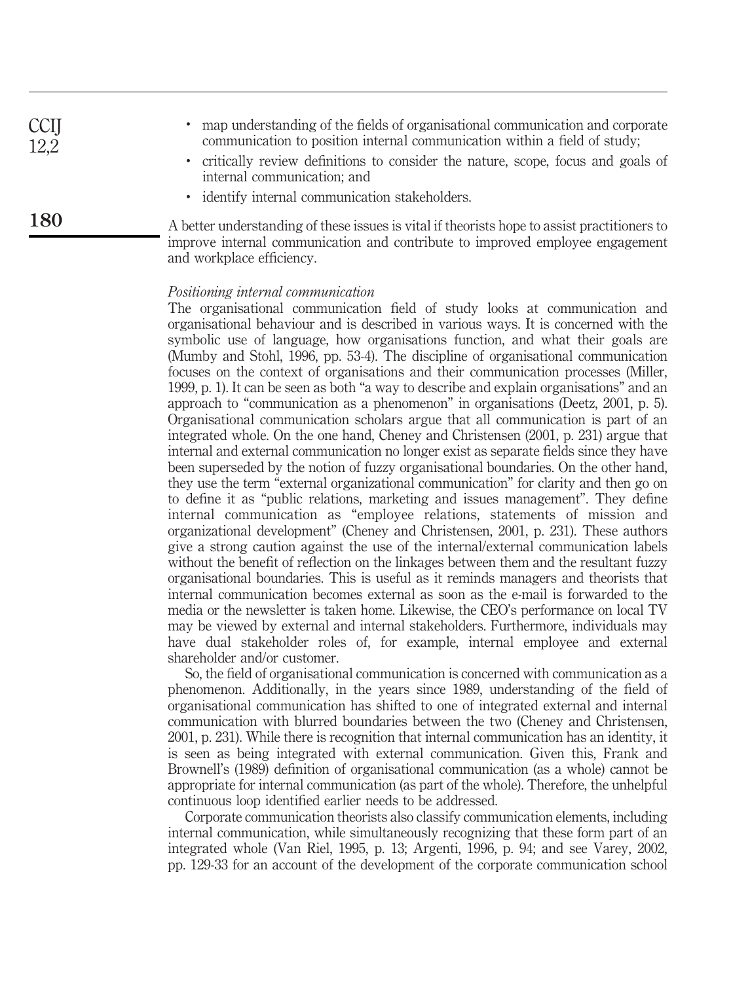| CCIJ<br>12,2 | map understanding of the fields of organisational communication and corporate<br>communication to position internal communication within a field of study;                                                 |
|--------------|------------------------------------------------------------------------------------------------------------------------------------------------------------------------------------------------------------|
|              | • critically review definitions to consider the nature, scope, focus and goals of<br>internal communication; and                                                                                           |
|              | • identify internal communication stakeholders.                                                                                                                                                            |
| 180          | A better understanding of these issues is vital if theorists hope to assist practitioners to<br>improve internal communication and contribute to improved employee engagement<br>and workplace efficiency. |

### Positioning internal communication

The organisational communication field of study looks at communication and organisational behaviour and is described in various ways. It is concerned with the symbolic use of language, how organisations function, and what their goals are (Mumby and Stohl, 1996, pp. 53-4). The discipline of organisational communication focuses on the context of organisations and their communication processes (Miller, 1999, p. 1). It can be seen as both "a way to describe and explain organisations" and an approach to "communication as a phenomenon" in organisations (Deetz, 2001, p. 5). Organisational communication scholars argue that all communication is part of an integrated whole. On the one hand, Cheney and Christensen (2001, p. 231) argue that internal and external communication no longer exist as separate fields since they have been superseded by the notion of fuzzy organisational boundaries. On the other hand, they use the term "external organizational communication" for clarity and then go on to define it as "public relations, marketing and issues management". They define internal communication as "employee relations, statements of mission and organizational development" (Cheney and Christensen, 2001, p. 231). These authors give a strong caution against the use of the internal/external communication labels without the benefit of reflection on the linkages between them and the resultant fuzzy organisational boundaries. This is useful as it reminds managers and theorists that internal communication becomes external as soon as the e-mail is forwarded to the media or the newsletter is taken home. Likewise, the CEO's performance on local TV may be viewed by external and internal stakeholders. Furthermore, individuals may have dual stakeholder roles of, for example, internal employee and external shareholder and/or customer.

So, the field of organisational communication is concerned with communication as a phenomenon. Additionally, in the years since 1989, understanding of the field of organisational communication has shifted to one of integrated external and internal communication with blurred boundaries between the two (Cheney and Christensen, 2001, p. 231). While there is recognition that internal communication has an identity, it is seen as being integrated with external communication. Given this, Frank and Brownell's (1989) definition of organisational communication (as a whole) cannot be appropriate for internal communication (as part of the whole). Therefore, the unhelpful continuous loop identified earlier needs to be addressed.

Corporate communication theorists also classify communication elements, including internal communication, while simultaneously recognizing that these form part of an integrated whole (Van Riel, 1995, p. 13; Argenti, 1996, p. 94; and see Varey, 2002, pp. 129-33 for an account of the development of the corporate communication school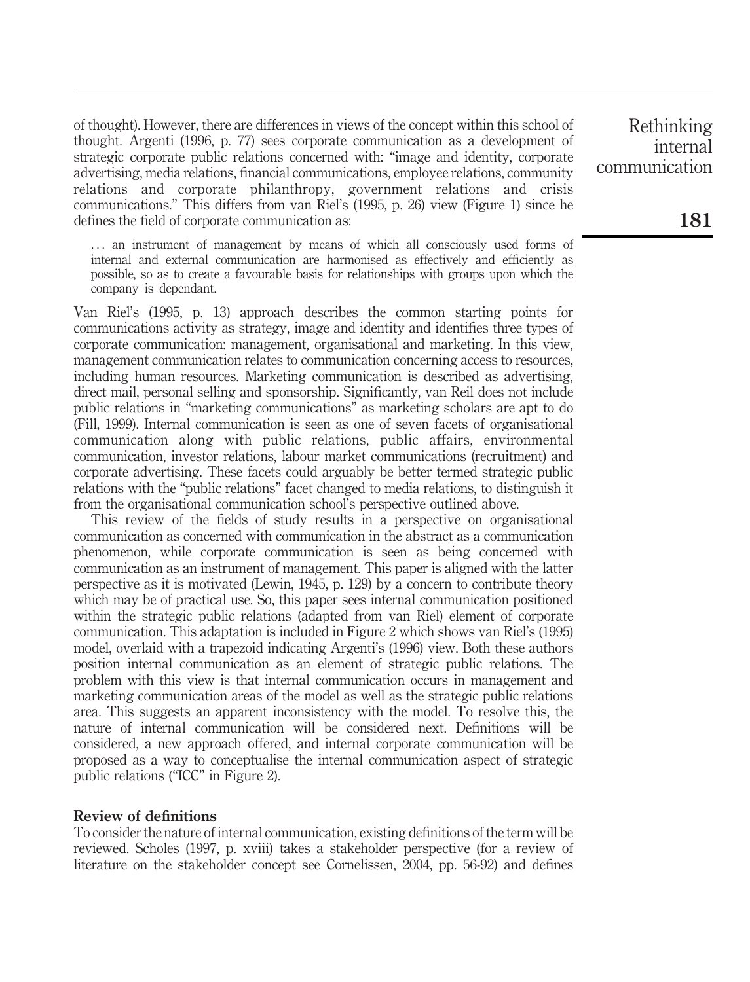of thought). However, there are differences in views of the concept within this school of thought. Argenti (1996, p. 77) sees corporate communication as a development of strategic corporate public relations concerned with: "image and identity, corporate advertising, media relations, financial communications, employee relations, community relations and corporate philanthropy, government relations and crisis communications." This differs from van Riel's (1995, p. 26) view (Figure 1) since he defines the field of corporate communication as:

... an instrument of management by means of which all consciously used forms of internal and external communication are harmonised as effectively and efficiently as possible, so as to create a favourable basis for relationships with groups upon which the company is dependant.

Van Riel's (1995, p. 13) approach describes the common starting points for communications activity as strategy, image and identity and identifies three types of corporate communication: management, organisational and marketing. In this view, management communication relates to communication concerning access to resources, including human resources. Marketing communication is described as advertising, direct mail, personal selling and sponsorship. Significantly, van Reil does not include public relations in "marketing communications" as marketing scholars are apt to do (Fill, 1999). Internal communication is seen as one of seven facets of organisational communication along with public relations, public affairs, environmental communication, investor relations, labour market communications (recruitment) and corporate advertising. These facets could arguably be better termed strategic public relations with the "public relations" facet changed to media relations, to distinguish it from the organisational communication school's perspective outlined above.

This review of the fields of study results in a perspective on organisational communication as concerned with communication in the abstract as a communication phenomenon, while corporate communication is seen as being concerned with communication as an instrument of management. This paper is aligned with the latter perspective as it is motivated (Lewin, 1945, p. 129) by a concern to contribute theory which may be of practical use. So, this paper sees internal communication positioned within the strategic public relations (adapted from van Riel) element of corporate communication. This adaptation is included in Figure 2 which shows van Riel's (1995) model, overlaid with a trapezoid indicating Argenti's (1996) view. Both these authors position internal communication as an element of strategic public relations. The problem with this view is that internal communication occurs in management and marketing communication areas of the model as well as the strategic public relations area. This suggests an apparent inconsistency with the model. To resolve this, the nature of internal communication will be considered next. Definitions will be considered, a new approach offered, and internal corporate communication will be proposed as a way to conceptualise the internal communication aspect of strategic public relations ("ICC" in Figure 2).

# Review of definitions

To consider the nature of internal communication, existing definitions of the term will be reviewed. Scholes (1997, p. xviii) takes a stakeholder perspective (for a review of literature on the stakeholder concept see Cornelissen, 2004, pp. 56-92) and defines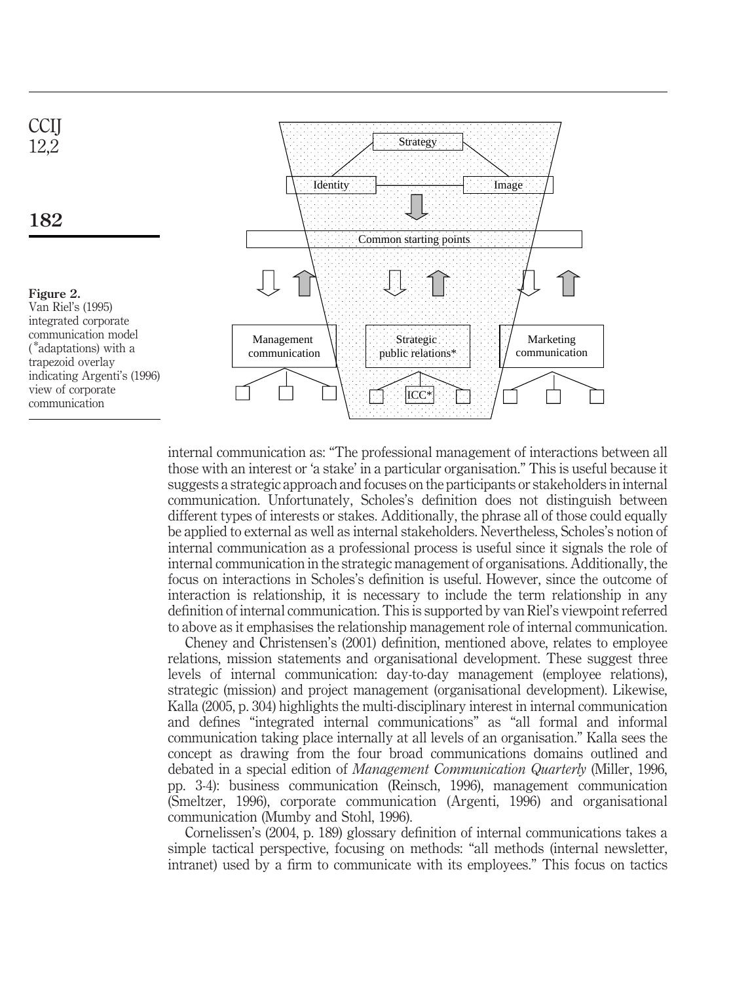#### Figure 2. Van Riel's (1995) integrated corporate communication model ( \*adaptations) with a trapezoid overlay indicating Argenti's (1996) view of corporate communication Identity Strategy Image Management communication Strategic public relations\* Marketing communication Common starting points ICC\* **CCII** 12,2 182

internal communication as: "The professional management of interactions between all those with an interest or 'a stake' in a particular organisation." This is useful because it suggests a strategic approach and focuses on the participants or stakeholders in internal communication. Unfortunately, Scholes's definition does not distinguish between different types of interests or stakes. Additionally, the phrase all of those could equally be applied to external as well as internal stakeholders. Nevertheless, Scholes's notion of internal communication as a professional process is useful since it signals the role of internal communication in the strategic management of organisations. Additionally, the focus on interactions in Scholes's definition is useful. However, since the outcome of interaction is relationship, it is necessary to include the term relationship in any definition of internal communication. This is supported by van Riel's viewpoint referred to above as it emphasises the relationship management role of internal communication.

Cheney and Christensen's (2001) definition, mentioned above, relates to employee relations, mission statements and organisational development. These suggest three levels of internal communication: day-to-day management (employee relations), strategic (mission) and project management (organisational development). Likewise, Kalla (2005, p. 304) highlights the multi-disciplinary interest in internal communication and defines "integrated internal communications" as "all formal and informal communication taking place internally at all levels of an organisation." Kalla sees the concept as drawing from the four broad communications domains outlined and debated in a special edition of Management Communication Quarterly (Miller, 1996, pp. 3-4): business communication (Reinsch, 1996), management communication (Smeltzer, 1996), corporate communication (Argenti, 1996) and organisational communication (Mumby and Stohl, 1996).

Cornelissen's (2004, p. 189) glossary definition of internal communications takes a simple tactical perspective, focusing on methods: "all methods (internal newsletter, intranet) used by a firm to communicate with its employees." This focus on tactics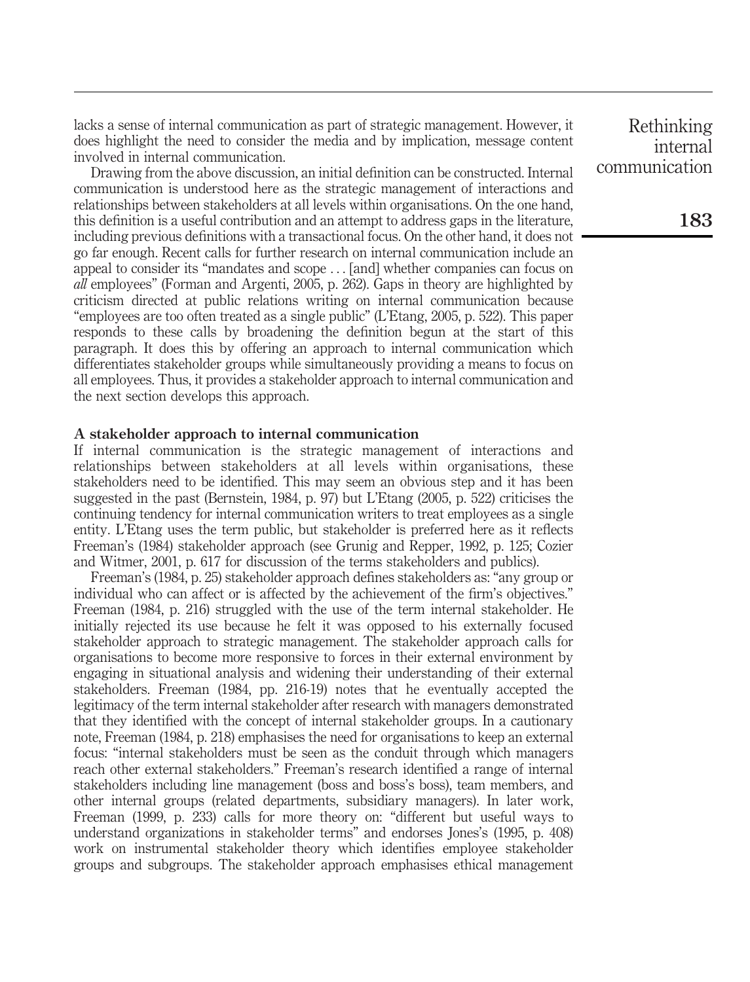lacks a sense of internal communication as part of strategic management. However, it does highlight the need to consider the media and by implication, message content involved in internal communication.

Drawing from the above discussion, an initial definition can be constructed. Internal communication is understood here as the strategic management of interactions and relationships between stakeholders at all levels within organisations. On the one hand, this definition is a useful contribution and an attempt to address gaps in the literature, including previous definitions with a transactional focus. On the other hand, it does not go far enough. Recent calls for further research on internal communication include an appeal to consider its "mandates and scope ... [and] whether companies can focus on all employees" (Forman and Argenti, 2005, p. 262). Gaps in theory are highlighted by criticism directed at public relations writing on internal communication because "employees are too often treated as a single public" (L'Etang, 2005, p. 522). This paper responds to these calls by broadening the definition begun at the start of this paragraph. It does this by offering an approach to internal communication which differentiates stakeholder groups while simultaneously providing a means to focus on all employees. Thus, it provides a stakeholder approach to internal communication and the next section develops this approach.

## A stakeholder approach to internal communication

If internal communication is the strategic management of interactions and relationships between stakeholders at all levels within organisations, these stakeholders need to be identified. This may seem an obvious step and it has been suggested in the past (Bernstein, 1984, p. 97) but L'Etang (2005, p. 522) criticises the continuing tendency for internal communication writers to treat employees as a single entity. L'Etang uses the term public, but stakeholder is preferred here as it reflects Freeman's (1984) stakeholder approach (see Grunig and Repper, 1992, p. 125; Cozier and Witmer, 2001, p. 617 for discussion of the terms stakeholders and publics).

Freeman's (1984, p. 25) stakeholder approach defines stakeholders as: "any group or individual who can affect or is affected by the achievement of the firm's objectives." Freeman (1984, p. 216) struggled with the use of the term internal stakeholder. He initially rejected its use because he felt it was opposed to his externally focused stakeholder approach to strategic management. The stakeholder approach calls for organisations to become more responsive to forces in their external environment by engaging in situational analysis and widening their understanding of their external stakeholders. Freeman (1984, pp. 216-19) notes that he eventually accepted the legitimacy of the term internal stakeholder after research with managers demonstrated that they identified with the concept of internal stakeholder groups. In a cautionary note, Freeman (1984, p. 218) emphasises the need for organisations to keep an external focus: "internal stakeholders must be seen as the conduit through which managers reach other external stakeholders." Freeman's research identified a range of internal stakeholders including line management (boss and boss's boss), team members, and other internal groups (related departments, subsidiary managers). In later work, Freeman (1999, p. 233) calls for more theory on: "different but useful ways to understand organizations in stakeholder terms" and endorses Jones's (1995, p. 408) work on instrumental stakeholder theory which identifies employee stakeholder groups and subgroups. The stakeholder approach emphasises ethical management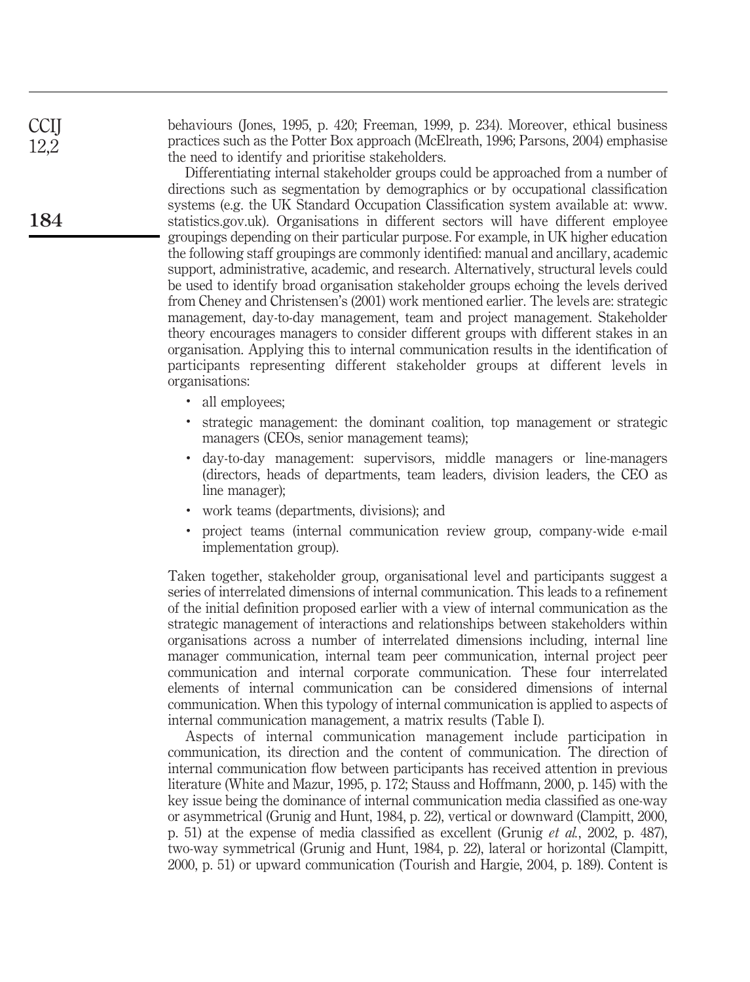behaviours (Jones, 1995, p. 420; Freeman, 1999, p. 234). Moreover, ethical business practices such as the Potter Box approach (McElreath, 1996; Parsons, 2004) emphasise the need to identify and prioritise stakeholders.

Differentiating internal stakeholder groups could be approached from a number of directions such as segmentation by demographics or by occupational classification systems (e.g. the UK Standard Occupation Classification system available at: www. statistics.gov.uk). Organisations in different sectors will have different employee groupings depending on their particular purpose. For example, in UK higher education the following staff groupings are commonly identified: manual and ancillary, academic support, administrative, academic, and research. Alternatively, structural levels could be used to identify broad organisation stakeholder groups echoing the levels derived from Cheney and Christensen's (2001) work mentioned earlier. The levels are: strategic management, day-to-day management, team and project management. Stakeholder theory encourages managers to consider different groups with different stakes in an organisation. Applying this to internal communication results in the identification of participants representing different stakeholder groups at different levels in organisations:

- all employees;
- . strategic management: the dominant coalition, top management or strategic managers (CEOs, senior management teams);
- . day-to-day management: supervisors, middle managers or line-managers (directors, heads of departments, team leaders, division leaders, the CEO as line manager);
- . work teams (departments, divisions); and
- . project teams (internal communication review group, company-wide e-mail implementation group).

Taken together, stakeholder group, organisational level and participants suggest a series of interrelated dimensions of internal communication. This leads to a refinement of the initial definition proposed earlier with a view of internal communication as the strategic management of interactions and relationships between stakeholders within organisations across a number of interrelated dimensions including, internal line manager communication, internal team peer communication, internal project peer communication and internal corporate communication. These four interrelated elements of internal communication can be considered dimensions of internal communication. When this typology of internal communication is applied to aspects of internal communication management, a matrix results (Table I).

Aspects of internal communication management include participation in communication, its direction and the content of communication. The direction of internal communication flow between participants has received attention in previous literature (White and Mazur, 1995, p. 172; Stauss and Hoffmann, 2000, p. 145) with the key issue being the dominance of internal communication media classified as one-way or asymmetrical (Grunig and Hunt, 1984, p. 22), vertical or downward (Clampitt, 2000, p. 51) at the expense of media classified as excellent (Grunig et al., 2002, p. 487), two-way symmetrical (Grunig and Hunt, 1984, p. 22), lateral or horizontal (Clampitt, 2000, p. 51) or upward communication (Tourish and Hargie, 2004, p. 189). Content is

**CCII**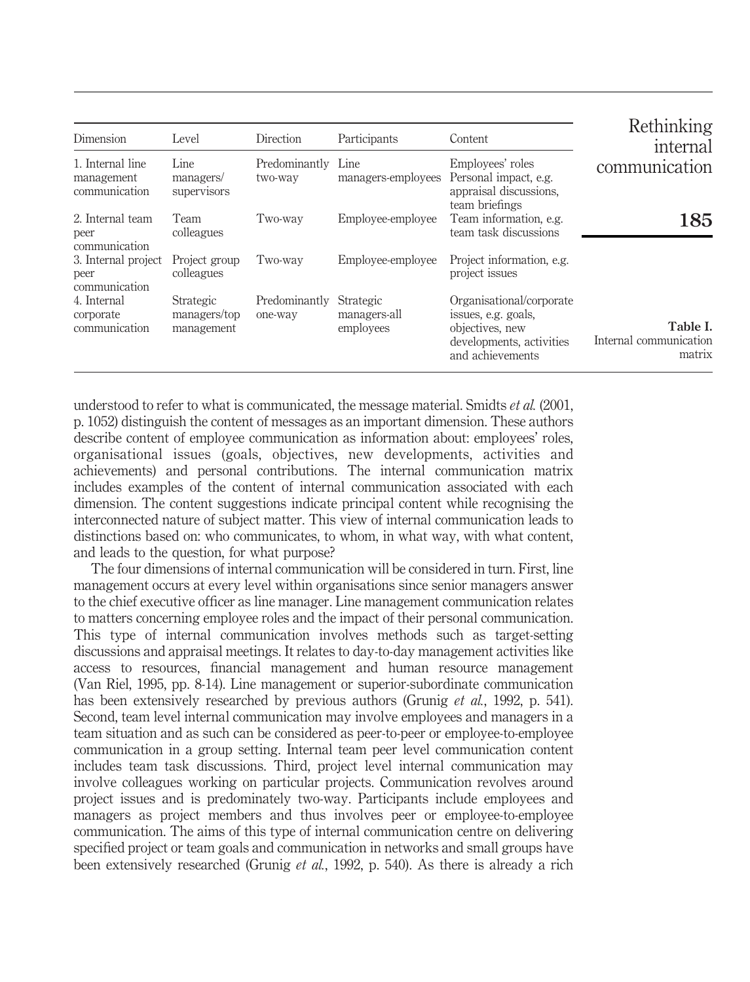| Dimension                                       | Level                                   | Direction                | Participants                           | Content                                                                                                            | Rethinking<br>internal                       |
|-------------------------------------------------|-----------------------------------------|--------------------------|----------------------------------------|--------------------------------------------------------------------------------------------------------------------|----------------------------------------------|
| 1. Internal line<br>management<br>communication | Line<br>managers/<br>supervisors        | Predominantly<br>two-way | Line<br>managers-employees             | Employees' roles<br>Personal impact, e.g.<br>appraisal discussions.<br>team briefings                              | communication                                |
| 2. Internal team<br>peer<br>communication       | Team<br>colleagues                      | Two-way                  | Employee-employee                      | Team information, e.g.<br>team task discussions                                                                    | 185                                          |
| 3. Internal project<br>peer<br>communication    | Project group<br>colleagues             | Two-way                  | Employee-employee                      | Project information, e.g.<br>project issues                                                                        |                                              |
| 4. Internal<br>corporate<br>communication       | Strategic<br>managers/top<br>management | Predominantly<br>one-way | Strategic<br>managers-all<br>employees | Organisational/corporate<br>issues, e.g. goals,<br>objectives, new<br>developments, activities<br>and achievements | Table I.<br>Internal communication<br>matrix |

understood to refer to what is communicated, the message material. Smidts et al. (2001, p. 1052) distinguish the content of messages as an important dimension. These authors describe content of employee communication as information about: employees' roles, organisational issues (goals, objectives, new developments, activities and achievements) and personal contributions. The internal communication matrix includes examples of the content of internal communication associated with each dimension. The content suggestions indicate principal content while recognising the interconnected nature of subject matter. This view of internal communication leads to distinctions based on: who communicates, to whom, in what way, with what content, and leads to the question, for what purpose?

The four dimensions of internal communication will be considered in turn. First, line management occurs at every level within organisations since senior managers answer to the chief executive officer as line manager. Line management communication relates to matters concerning employee roles and the impact of their personal communication. This type of internal communication involves methods such as target-setting discussions and appraisal meetings. It relates to day-to-day management activities like access to resources, financial management and human resource management (Van Riel, 1995, pp. 8-14). Line management or superior-subordinate communication has been extensively researched by previous authors (Grunig *et al.*, 1992, p. 541). Second, team level internal communication may involve employees and managers in a team situation and as such can be considered as peer-to-peer or employee-to-employee communication in a group setting. Internal team peer level communication content includes team task discussions. Third, project level internal communication may involve colleagues working on particular projects. Communication revolves around project issues and is predominately two-way. Participants include employees and managers as project members and thus involves peer or employee-to-employee communication. The aims of this type of internal communication centre on delivering specified project or team goals and communication in networks and small groups have been extensively researched (Grunig et al., 1992, p. 540). As there is already a rich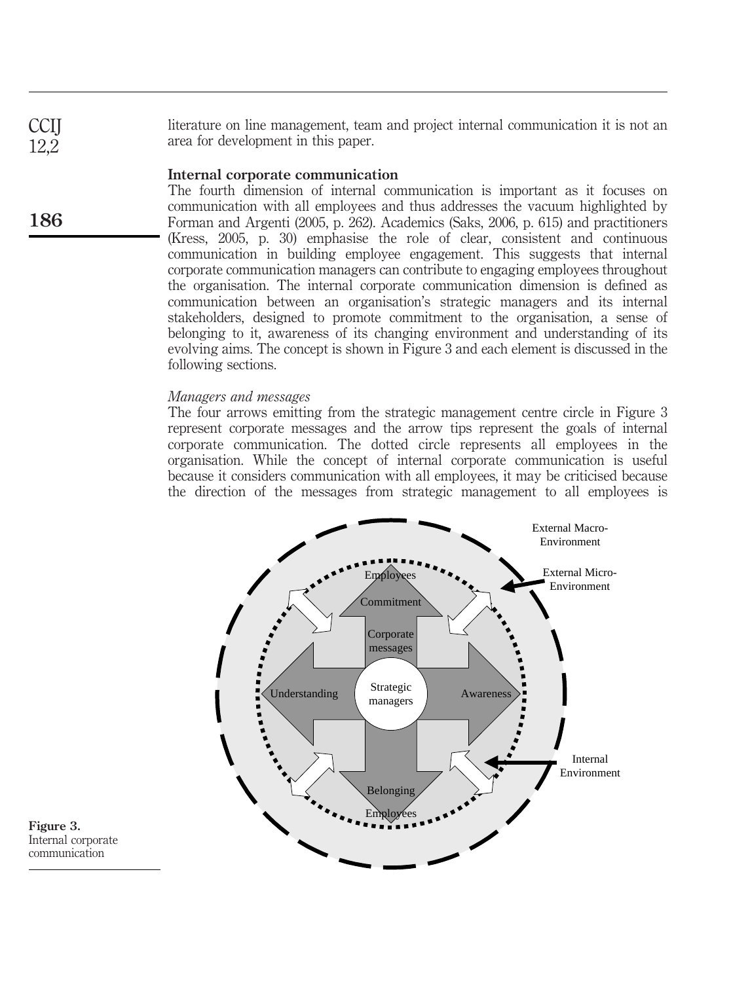literature on line management, team and project internal communication it is not an area for development in this paper.

## Internal corporate communication

The fourth dimension of internal communication is important as it focuses on communication with all employees and thus addresses the vacuum highlighted by Forman and Argenti (2005, p. 262). Academics (Saks, 2006, p. 615) and practitioners (Kress, 2005, p. 30) emphasise the role of clear, consistent and continuous communication in building employee engagement. This suggests that internal corporate communication managers can contribute to engaging employees throughout the organisation. The internal corporate communication dimension is defined as communication between an organisation's strategic managers and its internal stakeholders, designed to promote commitment to the organisation, a sense of belonging to it, awareness of its changing environment and understanding of its evolving aims. The concept is shown in Figure 3 and each element is discussed in the following sections.

### Managers and messages

The four arrows emitting from the strategic management centre circle in Figure 3 represent corporate messages and the arrow tips represent the goals of internal corporate communication. The dotted circle represents all employees in the organisation. While the concept of internal corporate communication is useful because it considers communication with all employees, it may be criticised because the direction of the messages from strategic management to all employees is



Figure 3. Internal corporate communication

**CCIJ** 12,2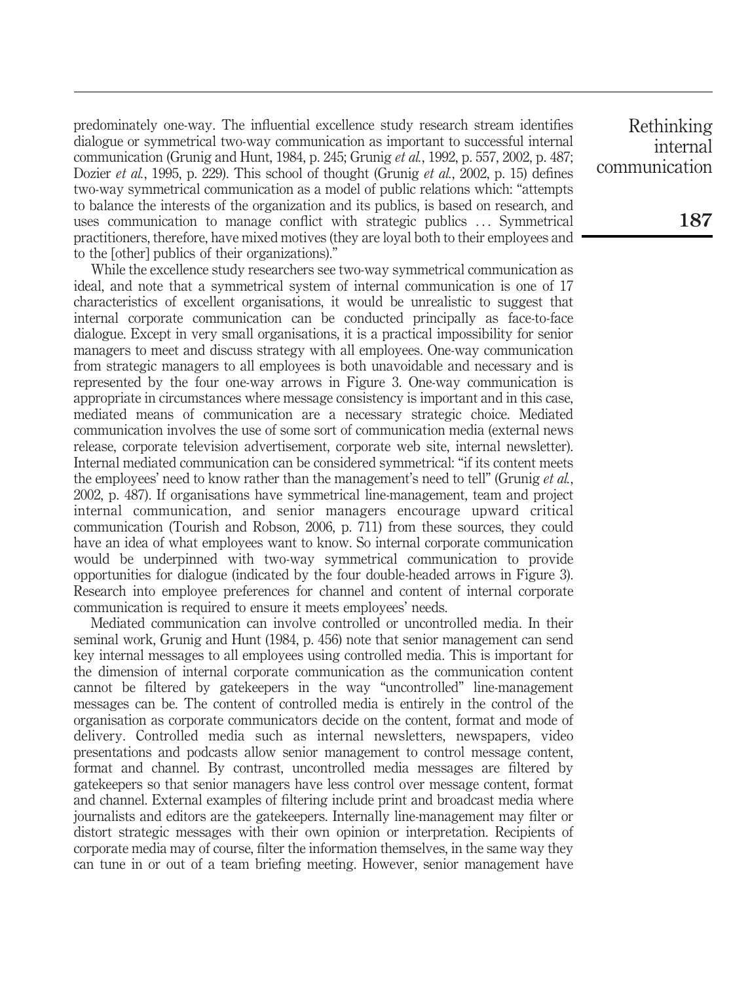predominately one-way. The influential excellence study research stream identifies dialogue or symmetrical two-way communication as important to successful internal communication (Grunig and Hunt, 1984, p. 245; Grunig et al., 1992, p. 557, 2002, p. 487; Dozier *et al.*, 1995, p. 229). This school of thought (Grunig *et al.*, 2002, p. 15) defines two-way symmetrical communication as a model of public relations which: "attempts to balance the interests of the organization and its publics, is based on research, and uses communication to manage conflict with strategic publics ... Symmetrical practitioners, therefore, have mixed motives (they are loyal both to their employees and to the [other] publics of their organizations)."

While the excellence study researchers see two-way symmetrical communication as ideal, and note that a symmetrical system of internal communication is one of 17 characteristics of excellent organisations, it would be unrealistic to suggest that internal corporate communication can be conducted principally as face-to-face dialogue. Except in very small organisations, it is a practical impossibility for senior managers to meet and discuss strategy with all employees. One-way communication from strategic managers to all employees is both unavoidable and necessary and is represented by the four one-way arrows in Figure 3. One-way communication is appropriate in circumstances where message consistency is important and in this case, mediated means of communication are a necessary strategic choice. Mediated communication involves the use of some sort of communication media (external news release, corporate television advertisement, corporate web site, internal newsletter). Internal mediated communication can be considered symmetrical: "if its content meets the employees' need to know rather than the management's need to tell" (Grunig et al., 2002, p. 487). If organisations have symmetrical line-management, team and project internal communication, and senior managers encourage upward critical communication (Tourish and Robson, 2006, p. 711) from these sources, they could have an idea of what employees want to know. So internal corporate communication would be underpinned with two-way symmetrical communication to provide opportunities for dialogue (indicated by the four double-headed arrows in Figure 3). Research into employee preferences for channel and content of internal corporate communication is required to ensure it meets employees' needs.

Mediated communication can involve controlled or uncontrolled media. In their seminal work, Grunig and Hunt (1984, p. 456) note that senior management can send key internal messages to all employees using controlled media. This is important for the dimension of internal corporate communication as the communication content cannot be filtered by gatekeepers in the way "uncontrolled" line-management messages can be. The content of controlled media is entirely in the control of the organisation as corporate communicators decide on the content, format and mode of delivery. Controlled media such as internal newsletters, newspapers, video presentations and podcasts allow senior management to control message content, format and channel. By contrast, uncontrolled media messages are filtered by gatekeepers so that senior managers have less control over message content, format and channel. External examples of filtering include print and broadcast media where journalists and editors are the gatekeepers. Internally line-management may filter or distort strategic messages with their own opinion or interpretation. Recipients of corporate media may of course, filter the information themselves, in the same way they can tune in or out of a team briefing meeting. However, senior management have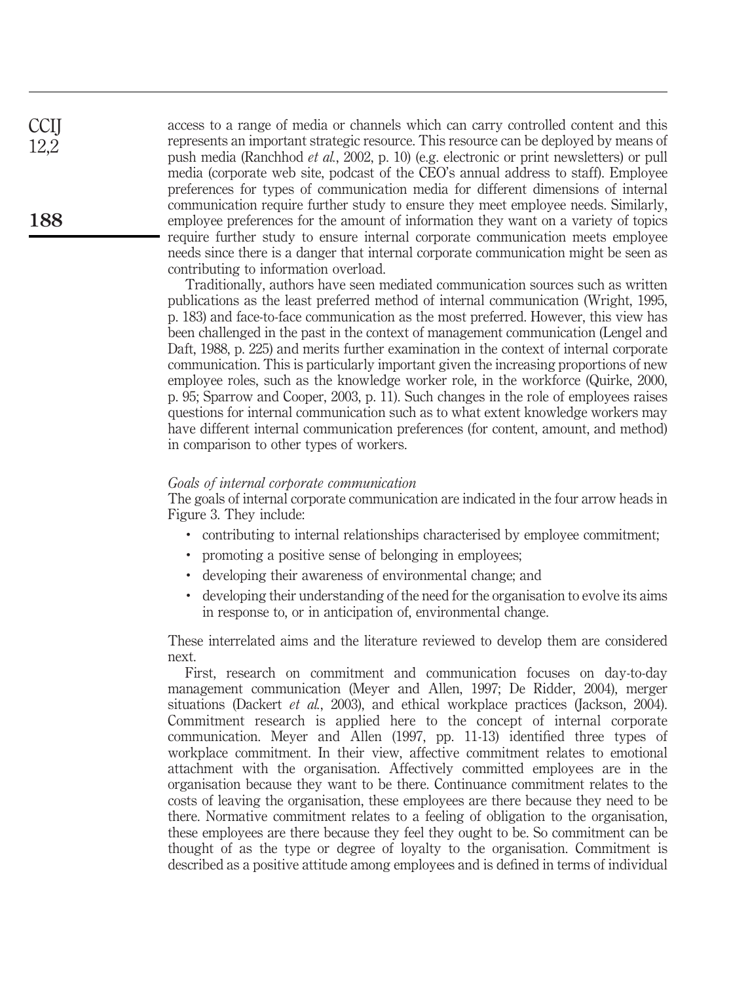access to a range of media or channels which can carry controlled content and this represents an important strategic resource. This resource can be deployed by means of push media (Ranchhod et al., 2002, p. 10) (e.g. electronic or print newsletters) or pull media (corporate web site, podcast of the CEO's annual address to staff). Employee preferences for types of communication media for different dimensions of internal communication require further study to ensure they meet employee needs. Similarly, employee preferences for the amount of information they want on a variety of topics require further study to ensure internal corporate communication meets employee needs since there is a danger that internal corporate communication might be seen as contributing to information overload.

Traditionally, authors have seen mediated communication sources such as written publications as the least preferred method of internal communication (Wright, 1995, p. 183) and face-to-face communication as the most preferred. However, this view has been challenged in the past in the context of management communication (Lengel and Daft, 1988, p. 225) and merits further examination in the context of internal corporate communication. This is particularly important given the increasing proportions of new employee roles, such as the knowledge worker role, in the workforce (Quirke, 2000, p. 95; Sparrow and Cooper, 2003, p. 11). Such changes in the role of employees raises questions for internal communication such as to what extent knowledge workers may have different internal communication preferences (for content, amount, and method) in comparison to other types of workers.

### Goals of internal corporate communication

The goals of internal corporate communication are indicated in the four arrow heads in Figure 3. They include:

- . contributing to internal relationships characterised by employee commitment;
- . promoting a positive sense of belonging in employees;
- . developing their awareness of environmental change; and
- . developing their understanding of the need for the organisation to evolve its aims in response to, or in anticipation of, environmental change.

These interrelated aims and the literature reviewed to develop them are considered next.

First, research on commitment and communication focuses on day-to-day management communication (Meyer and Allen, 1997; De Ridder, 2004), merger situations (Dackert *et al.*, 2003), and ethical workplace practices (Jackson, 2004). Commitment research is applied here to the concept of internal corporate communication. Meyer and Allen (1997, pp. 11-13) identified three types of workplace commitment. In their view, affective commitment relates to emotional attachment with the organisation. Affectively committed employees are in the organisation because they want to be there. Continuance commitment relates to the costs of leaving the organisation, these employees are there because they need to be there. Normative commitment relates to a feeling of obligation to the organisation, these employees are there because they feel they ought to be. So commitment can be thought of as the type or degree of loyalty to the organisation. Commitment is described as a positive attitude among employees and is defined in terms of individual

188

**CCII** 12,2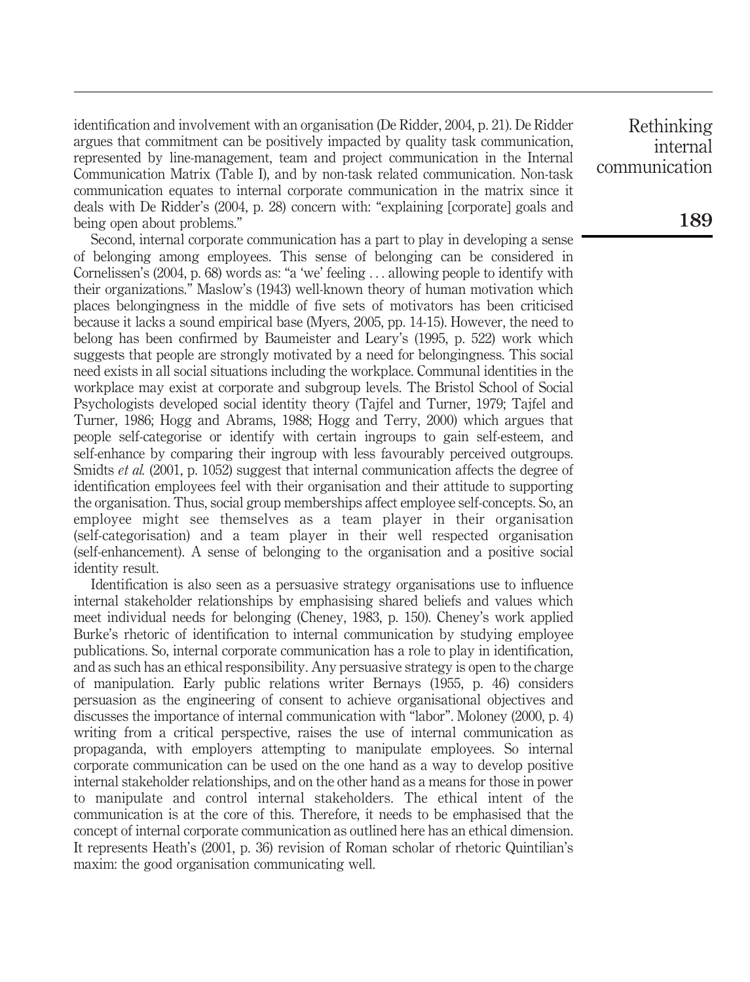identification and involvement with an organisation (De Ridder, 2004, p. 21). De Ridder argues that commitment can be positively impacted by quality task communication, represented by line-management, team and project communication in the Internal Communication Matrix (Table I), and by non-task related communication. Non-task communication equates to internal corporate communication in the matrix since it deals with De Ridder's (2004, p. 28) concern with: "explaining [corporate] goals and being open about problems."

Second, internal corporate communication has a part to play in developing a sense of belonging among employees. This sense of belonging can be considered in Cornelissen's (2004, p. 68) words as: "a 'we' feeling ... allowing people to identify with their organizations." Maslow's (1943) well-known theory of human motivation which places belongingness in the middle of five sets of motivators has been criticised because it lacks a sound empirical base (Myers, 2005, pp. 14-15). However, the need to belong has been confirmed by Baumeister and Leary's (1995, p. 522) work which suggests that people are strongly motivated by a need for belongingness. This social need exists in all social situations including the workplace. Communal identities in the workplace may exist at corporate and subgroup levels. The Bristol School of Social Psychologists developed social identity theory (Tajfel and Turner, 1979; Tajfel and Turner, 1986; Hogg and Abrams, 1988; Hogg and Terry, 2000) which argues that people self-categorise or identify with certain ingroups to gain self-esteem, and self-enhance by comparing their ingroup with less favourably perceived outgroups. Smidts *et al.* (2001, p. 1052) suggest that internal communication affects the degree of identification employees feel with their organisation and their attitude to supporting the organisation. Thus, social group memberships affect employee self-concepts. So, an employee might see themselves as a team player in their organisation (self-categorisation) and a team player in their well respected organisation (self-enhancement). A sense of belonging to the organisation and a positive social identity result.

Identification is also seen as a persuasive strategy organisations use to influence internal stakeholder relationships by emphasising shared beliefs and values which meet individual needs for belonging (Cheney, 1983, p. 150). Cheney's work applied Burke's rhetoric of identification to internal communication by studying employee publications. So, internal corporate communication has a role to play in identification, and as such has an ethical responsibility. Any persuasive strategy is open to the charge of manipulation. Early public relations writer Bernays (1955, p. 46) considers persuasion as the engineering of consent to achieve organisational objectives and discusses the importance of internal communication with "labor". Moloney (2000, p. 4) writing from a critical perspective, raises the use of internal communication as propaganda, with employers attempting to manipulate employees. So internal corporate communication can be used on the one hand as a way to develop positive internal stakeholder relationships, and on the other hand as a means for those in power to manipulate and control internal stakeholders. The ethical intent of the communication is at the core of this. Therefore, it needs to be emphasised that the concept of internal corporate communication as outlined here has an ethical dimension. It represents Heath's (2001, p. 36) revision of Roman scholar of rhetoric Quintilian's maxim: the good organisation communicating well.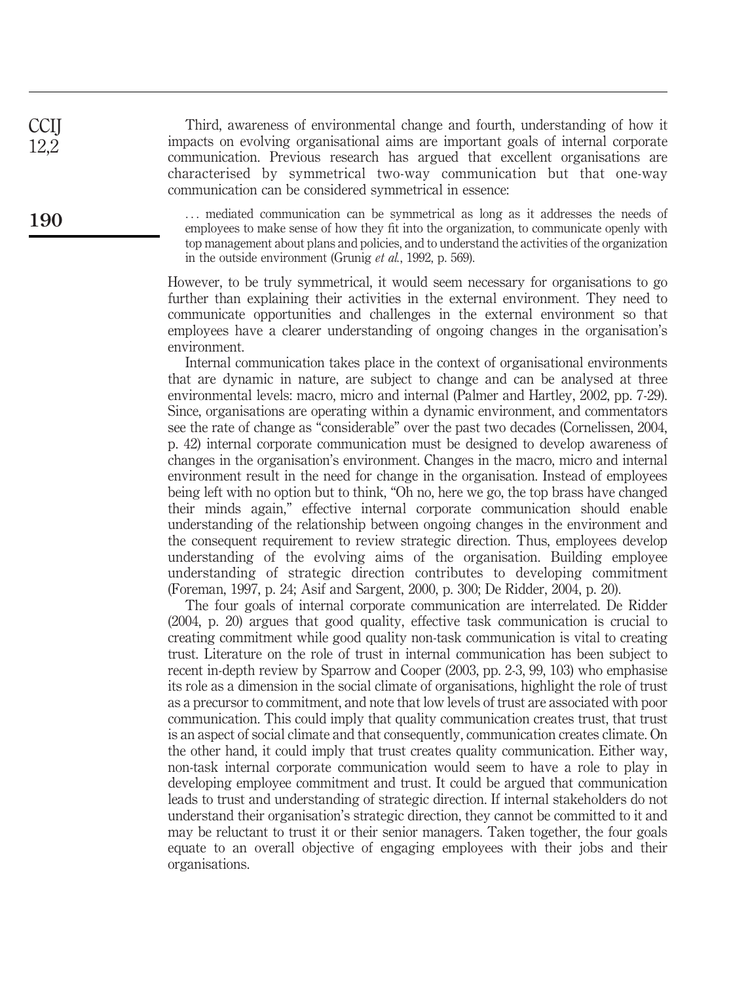Third, awareness of environmental change and fourth, understanding of how it impacts on evolving organisational aims are important goals of internal corporate communication. Previous research has argued that excellent organisations are characterised by symmetrical two-way communication but that one-way communication can be considered symmetrical in essence:

... mediated communication can be symmetrical as long as it addresses the needs of employees to make sense of how they fit into the organization, to communicate openly with top management about plans and policies, and to understand the activities of the organization in the outside environment (Grunig et al., 1992, p. 569).

However, to be truly symmetrical, it would seem necessary for organisations to go further than explaining their activities in the external environment. They need to communicate opportunities and challenges in the external environment so that employees have a clearer understanding of ongoing changes in the organisation's environment.

Internal communication takes place in the context of organisational environments that are dynamic in nature, are subject to change and can be analysed at three environmental levels: macro, micro and internal (Palmer and Hartley, 2002, pp. 7-29). Since, organisations are operating within a dynamic environment, and commentators see the rate of change as "considerable" over the past two decades (Cornelissen, 2004, p. 42) internal corporate communication must be designed to develop awareness of changes in the organisation's environment. Changes in the macro, micro and internal environment result in the need for change in the organisation. Instead of employees being left with no option but to think, "Oh no, here we go, the top brass have changed their minds again," effective internal corporate communication should enable understanding of the relationship between ongoing changes in the environment and the consequent requirement to review strategic direction. Thus, employees develop understanding of the evolving aims of the organisation. Building employee understanding of strategic direction contributes to developing commitment (Foreman, 1997, p. 24; Asif and Sargent, 2000, p. 300; De Ridder, 2004, p. 20).

The four goals of internal corporate communication are interrelated. De Ridder (2004, p. 20) argues that good quality, effective task communication is crucial to creating commitment while good quality non-task communication is vital to creating trust. Literature on the role of trust in internal communication has been subject to recent in-depth review by Sparrow and Cooper (2003, pp. 2-3, 99, 103) who emphasise its role as a dimension in the social climate of organisations, highlight the role of trust as a precursor to commitment, and note that low levels of trust are associated with poor communication. This could imply that quality communication creates trust, that trust is an aspect of social climate and that consequently, communication creates climate. On the other hand, it could imply that trust creates quality communication. Either way, non-task internal corporate communication would seem to have a role to play in developing employee commitment and trust. It could be argued that communication leads to trust and understanding of strategic direction. If internal stakeholders do not understand their organisation's strategic direction, they cannot be committed to it and may be reluctant to trust it or their senior managers. Taken together, the four goals equate to an overall objective of engaging employees with their jobs and their organisations.

190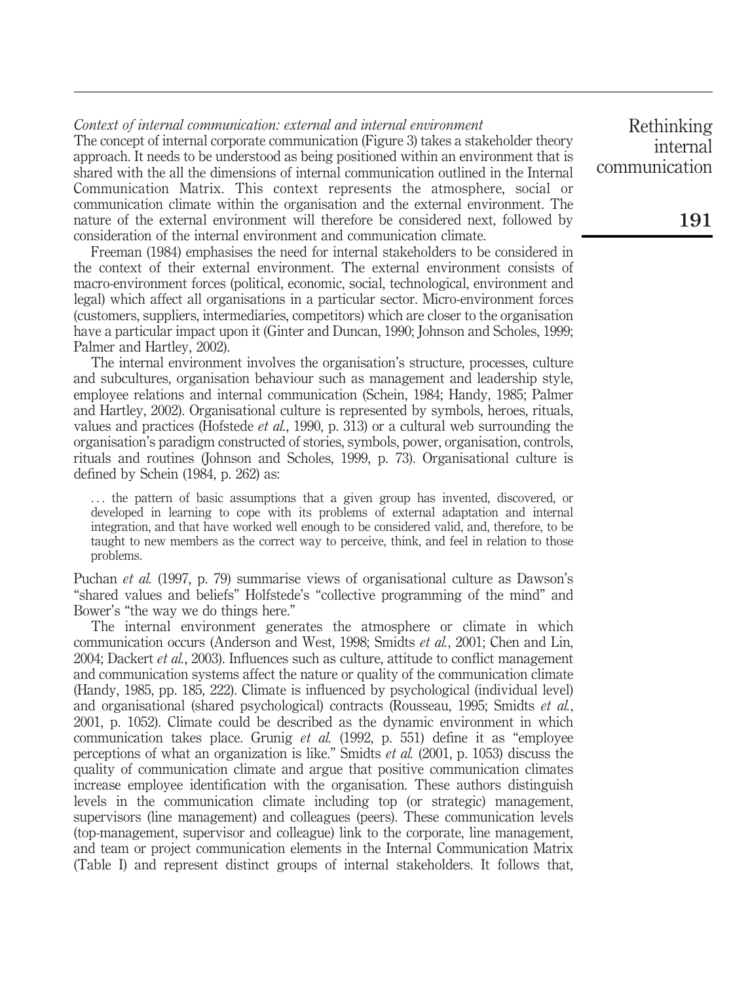Context of internal communication: external and internal environment The concept of internal corporate communication (Figure 3) takes a stakeholder theory approach. It needs to be understood as being positioned within an environment that is shared with the all the dimensions of internal communication outlined in the Internal Communication Matrix. This context represents the atmosphere, social or communication climate within the organisation and the external environment. The nature of the external environment will therefore be considered next, followed by consideration of the internal environment and communication climate.

Freeman (1984) emphasises the need for internal stakeholders to be considered in the context of their external environment. The external environment consists of macro-environment forces (political, economic, social, technological, environment and legal) which affect all organisations in a particular sector. Micro-environment forces (customers, suppliers, intermediaries, competitors) which are closer to the organisation have a particular impact upon it (Ginter and Duncan, 1990; Johnson and Scholes, 1999; Palmer and Hartley, 2002).

The internal environment involves the organisation's structure, processes, culture and subcultures, organisation behaviour such as management and leadership style, employee relations and internal communication (Schein, 1984; Handy, 1985; Palmer and Hartley, 2002). Organisational culture is represented by symbols, heroes, rituals, values and practices (Hofstede *et al.*, 1990, p. 313) or a cultural web surrounding the organisation's paradigm constructed of stories, symbols, power, organisation, controls, rituals and routines (Johnson and Scholes, 1999, p. 73). Organisational culture is defined by Schein (1984, p. 262) as:

... the pattern of basic assumptions that a given group has invented, discovered, or developed in learning to cope with its problems of external adaptation and internal integration, and that have worked well enough to be considered valid, and, therefore, to be taught to new members as the correct way to perceive, think, and feel in relation to those problems.

Puchan et al. (1997, p. 79) summarise views of organisational culture as Dawson's "shared values and beliefs" Holfstede's "collective programming of the mind" and Bower's "the way we do things here."

The internal environment generates the atmosphere or climate in which communication occurs (Anderson and West, 1998; Smidts et al., 2001; Chen and Lin, 2004; Dackert et al., 2003). Influences such as culture, attitude to conflict management and communication systems affect the nature or quality of the communication climate (Handy, 1985, pp. 185, 222). Climate is influenced by psychological (individual level) and organisational (shared psychological) contracts (Rousseau, 1995; Smidts et al., 2001, p. 1052). Climate could be described as the dynamic environment in which communication takes place. Grunig *et al.* (1992, p. 551) define it as "employee" perceptions of what an organization is like." Smidts et al. (2001, p. 1053) discuss the quality of communication climate and argue that positive communication climates increase employee identification with the organisation. These authors distinguish levels in the communication climate including top (or strategic) management, supervisors (line management) and colleagues (peers). These communication levels (top-management, supervisor and colleague) link to the corporate, line management, and team or project communication elements in the Internal Communication Matrix (Table I) and represent distinct groups of internal stakeholders. It follows that,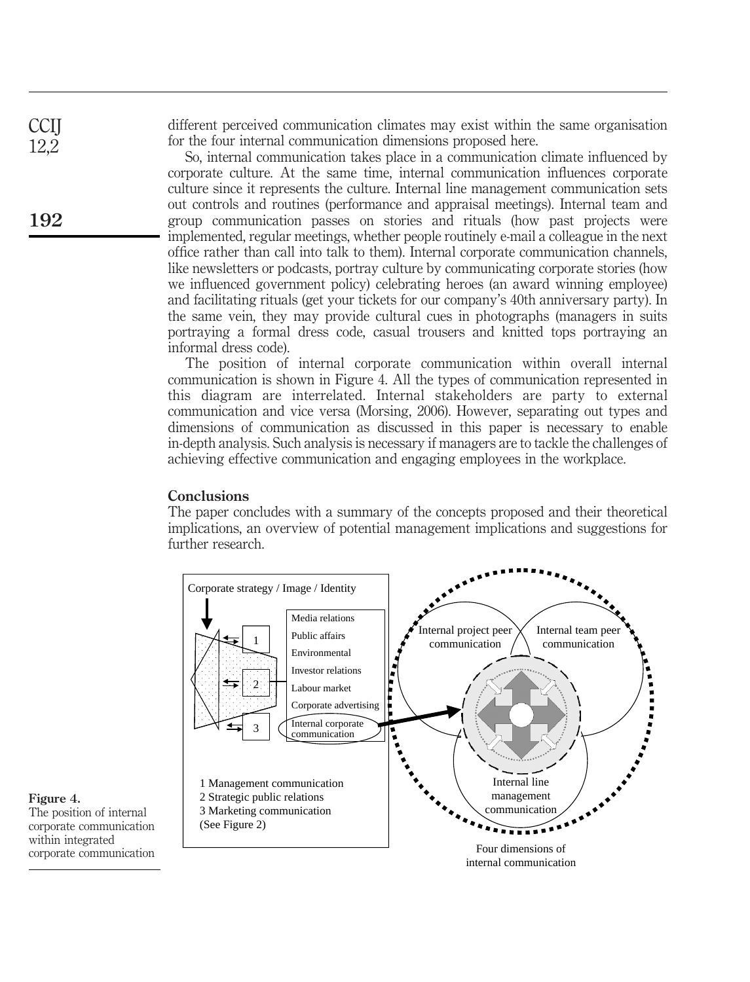different perceived communication climates may exist within the same organisation for the four internal communication dimensions proposed here.

So, internal communication takes place in a communication climate influenced by corporate culture. At the same time, internal communication influences corporate culture since it represents the culture. Internal line management communication sets out controls and routines (performance and appraisal meetings). Internal team and group communication passes on stories and rituals (how past projects were implemented, regular meetings, whether people routinely e-mail a colleague in the next office rather than call into talk to them). Internal corporate communication channels, like newsletters or podcasts, portray culture by communicating corporate stories (how we influenced government policy) celebrating heroes (an award winning employee) and facilitating rituals (get your tickets for our company's 40th anniversary party). In the same vein, they may provide cultural cues in photographs (managers in suits portraying a formal dress code, casual trousers and knitted tops portraying an informal dress code).

The position of internal corporate communication within overall internal communication is shown in Figure 4. All the types of communication represented in this diagram are interrelated. Internal stakeholders are party to external communication and vice versa (Morsing, 2006). However, separating out types and dimensions of communication as discussed in this paper is necessary to enable in-depth analysis. Such analysis is necessary if managers are to tackle the challenges of achieving effective communication and engaging employees in the workplace.

### **Conclusions**

The paper concludes with a summary of the concepts proposed and their theoretical implications, an overview of potential management implications and suggestions for further research.



#### Figure 4.

The position of internal corporate communication within integrated corporate communication

**CCII** 12,2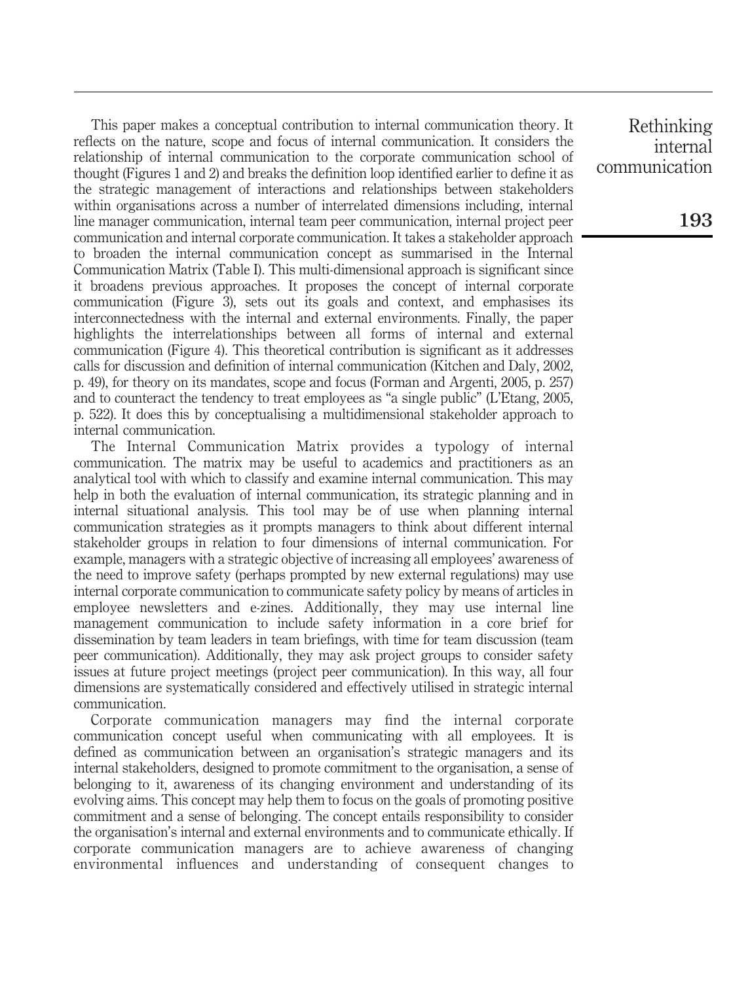This paper makes a conceptual contribution to internal communication theory. It reflects on the nature, scope and focus of internal communication. It considers the relationship of internal communication to the corporate communication school of thought (Figures 1 and 2) and breaks the definition loop identified earlier to define it as the strategic management of interactions and relationships between stakeholders within organisations across a number of interrelated dimensions including, internal line manager communication, internal team peer communication, internal project peer communication and internal corporate communication. It takes a stakeholder approach to broaden the internal communication concept as summarised in the Internal Communication Matrix (Table I). This multi-dimensional approach is significant since it broadens previous approaches. It proposes the concept of internal corporate communication (Figure 3), sets out its goals and context, and emphasises its interconnectedness with the internal and external environments. Finally, the paper highlights the interrelationships between all forms of internal and external communication (Figure 4). This theoretical contribution is significant as it addresses calls for discussion and definition of internal communication (Kitchen and Daly, 2002, p. 49), for theory on its mandates, scope and focus (Forman and Argenti, 2005, p. 257) and to counteract the tendency to treat employees as "a single public" (L'Etang, 2005, p. 522). It does this by conceptualising a multidimensional stakeholder approach to internal communication.

The Internal Communication Matrix provides a typology of internal communication. The matrix may be useful to academics and practitioners as an analytical tool with which to classify and examine internal communication. This may help in both the evaluation of internal communication, its strategic planning and in internal situational analysis. This tool may be of use when planning internal communication strategies as it prompts managers to think about different internal stakeholder groups in relation to four dimensions of internal communication. For example, managers with a strategic objective of increasing all employees' awareness of the need to improve safety (perhaps prompted by new external regulations) may use internal corporate communication to communicate safety policy by means of articles in employee newsletters and e-zines. Additionally, they may use internal line management communication to include safety information in a core brief for dissemination by team leaders in team briefings, with time for team discussion (team peer communication). Additionally, they may ask project groups to consider safety issues at future project meetings (project peer communication). In this way, all four dimensions are systematically considered and effectively utilised in strategic internal communication.

Corporate communication managers may find the internal corporate communication concept useful when communicating with all employees. It is defined as communication between an organisation's strategic managers and its internal stakeholders, designed to promote commitment to the organisation, a sense of belonging to it, awareness of its changing environment and understanding of its evolving aims. This concept may help them to focus on the goals of promoting positive commitment and a sense of belonging. The concept entails responsibility to consider the organisation's internal and external environments and to communicate ethically. If corporate communication managers are to achieve awareness of changing environmental influences and understanding of consequent changes to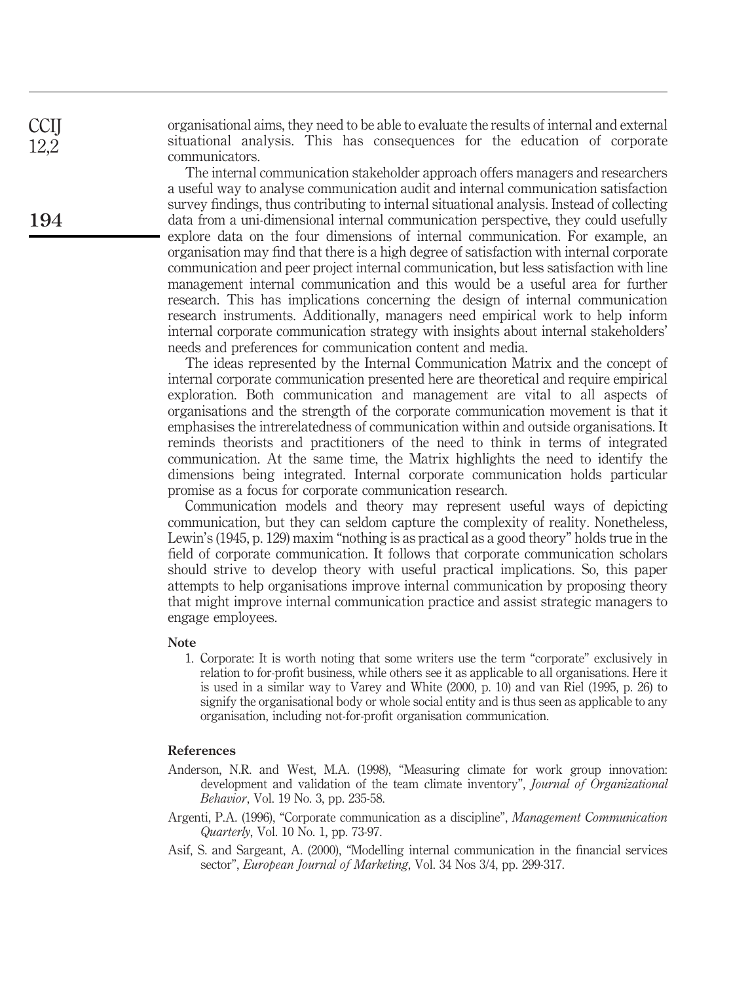organisational aims, they need to be able to evaluate the results of internal and external situational analysis. This has consequences for the education of corporate communicators.

The internal communication stakeholder approach offers managers and researchers a useful way to analyse communication audit and internal communication satisfaction survey findings, thus contributing to internal situational analysis. Instead of collecting data from a uni-dimensional internal communication perspective, they could usefully explore data on the four dimensions of internal communication. For example, an organisation may find that there is a high degree of satisfaction with internal corporate communication and peer project internal communication, but less satisfaction with line management internal communication and this would be a useful area for further research. This has implications concerning the design of internal communication research instruments. Additionally, managers need empirical work to help inform internal corporate communication strategy with insights about internal stakeholders' needs and preferences for communication content and media.

The ideas represented by the Internal Communication Matrix and the concept of internal corporate communication presented here are theoretical and require empirical exploration. Both communication and management are vital to all aspects of organisations and the strength of the corporate communication movement is that it emphasises the intrerelatedness of communication within and outside organisations. It reminds theorists and practitioners of the need to think in terms of integrated communication. At the same time, the Matrix highlights the need to identify the dimensions being integrated. Internal corporate communication holds particular promise as a focus for corporate communication research.

Communication models and theory may represent useful ways of depicting communication, but they can seldom capture the complexity of reality. Nonetheless, Lewin's (1945, p. 129) maxim "nothing is as practical as a good theory" holds true in the field of corporate communication. It follows that corporate communication scholars should strive to develop theory with useful practical implications. So, this paper attempts to help organisations improve internal communication by proposing theory that might improve internal communication practice and assist strategic managers to engage employees.

#### Note

1. Corporate: It is worth noting that some writers use the term "corporate" exclusively in relation to for-profit business, while others see it as applicable to all organisations. Here it is used in a similar way to Varey and White (2000, p. 10) and van Riel (1995, p. 26) to signify the organisational body or whole social entity and is thus seen as applicable to any organisation, including not-for-profit organisation communication.

#### References

- Anderson, N.R. and West, M.A. (1998), "Measuring climate for work group innovation: development and validation of the team climate inventory", Journal of Organizational Behavior, Vol. 19 No. 3, pp. 235-58.
- Argenti, P.A. (1996), "Corporate communication as a discipline", Management Communication Quarterly, Vol. 10 No. 1, pp. 73-97.
- Asif, S. and Sargeant, A. (2000), "Modelling internal communication in the financial services sector", *European Journal of Marketing*, Vol. 34 Nos 3/4, pp. 299-317.

194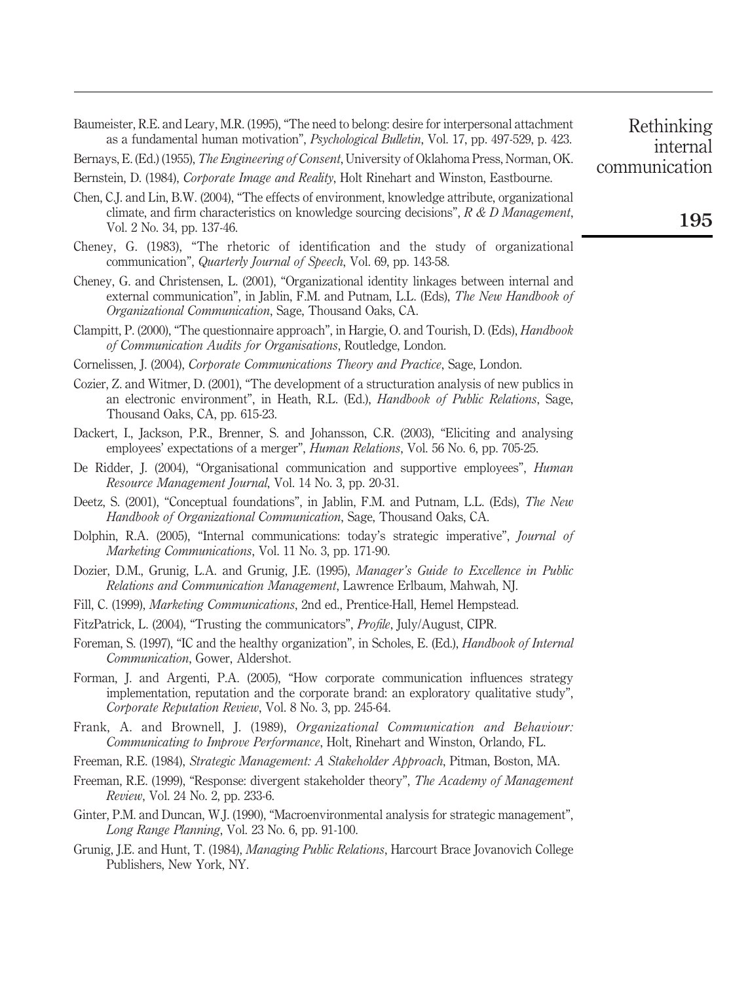Baumeister, R.E. and Leary, M.R. (1995), "The need to belong: desire for interpersonal attachment as a fundamental human motivation", Psychological Bulletin, Vol. 17, pp. 497-529, p. 423.

Bernays, E. (Ed.) (1955), The Engineering of Consent, University of Oklahoma Press, Norman, OK.

Bernstein, D. (1984), Corporate Image and Reality, Holt Rinehart and Winston, Eastbourne.

- Chen, C.J. and Lin, B.W. (2004), "The effects of environment, knowledge attribute, organizational climate, and firm characteristics on knowledge sourcing decisions",  $R \& D$  Management, Vol. 2 No. 34, pp. 137-46.
- Cheney, G. (1983), "The rhetoric of identification and the study of organizational communication", Quarterly Journal of Speech, Vol. 69, pp. 143-58.
- Cheney, G. and Christensen, L. (2001), "Organizational identity linkages between internal and external communication", in Jablin, F.M. and Putnam, L.L. (Eds), The New Handbook of Organizational Communication, Sage, Thousand Oaks, CA.
- Clampitt, P. (2000), "The questionnaire approach", in Hargie, O. and Tourish, D. (Eds), Handbook of Communication Audits for Organisations, Routledge, London.
- Cornelissen, J. (2004), Corporate Communications Theory and Practice, Sage, London.
- Cozier, Z. and Witmer, D. (2001), "The development of a structuration analysis of new publics in an electronic environment", in Heath, R.L. (Ed.), Handbook of Public Relations, Sage, Thousand Oaks, CA, pp. 615-23.
- Dackert, I., Jackson, P.R., Brenner, S. and Johansson, C.R. (2003), "Eliciting and analysing employees' expectations of a merger", *Human Relations*, Vol. 56 No. 6, pp. 705-25.
- De Ridder, J. (2004), "Organisational communication and supportive employees", Human Resource Management Journal, Vol. 14 No. 3, pp. 20-31.
- Deetz, S. (2001), "Conceptual foundations", in Jablin, F.M. and Putnam, L.L. (Eds), The New Handbook of Organizational Communication, Sage, Thousand Oaks, CA.
- Dolphin, R.A. (2005), "Internal communications: today's strategic imperative", Journal of Marketing Communications, Vol. 11 No. 3, pp. 171-90.
- Dozier, D.M., Grunig, L.A. and Grunig, J.E. (1995), *Manager's Guide to Excellence in Public* Relations and Communication Management, Lawrence Erlbaum, Mahwah, NJ.
- Fill, C. (1999), Marketing Communications, 2nd ed., Prentice-Hall, Hemel Hempstead.
- FitzPatrick, L. (2004), "Trusting the communicators", Profile, July/August, CIPR.
- Foreman, S. (1997), "IC and the healthy organization", in Scholes, E. (Ed.), Handbook of Internal Communication, Gower, Aldershot.
- Forman, J. and Argenti, P.A. (2005), "How corporate communication influences strategy implementation, reputation and the corporate brand: an exploratory qualitative study", Corporate Reputation Review, Vol. 8 No. 3, pp. 245-64.
- Frank, A. and Brownell, J. (1989), Organizational Communication and Behaviour: Communicating to Improve Performance, Holt, Rinehart and Winston, Orlando, FL.
- Freeman, R.E. (1984), Strategic Management: A Stakeholder Approach, Pitman, Boston, MA.
- Freeman, R.E. (1999), "Response: divergent stakeholder theory", The Academy of Management Review, Vol. 24 No. 2, pp. 233-6.
- Ginter, P.M. and Duncan, W.J. (1990), "Macroenvironmental analysis for strategic management", Long Range Planning, Vol. 23 No. 6, pp. 91-100.
- Grunig, J.E. and Hunt, T. (1984), *Managing Public Relations*, Harcourt Brace Jovanovich College Publishers, New York, NY.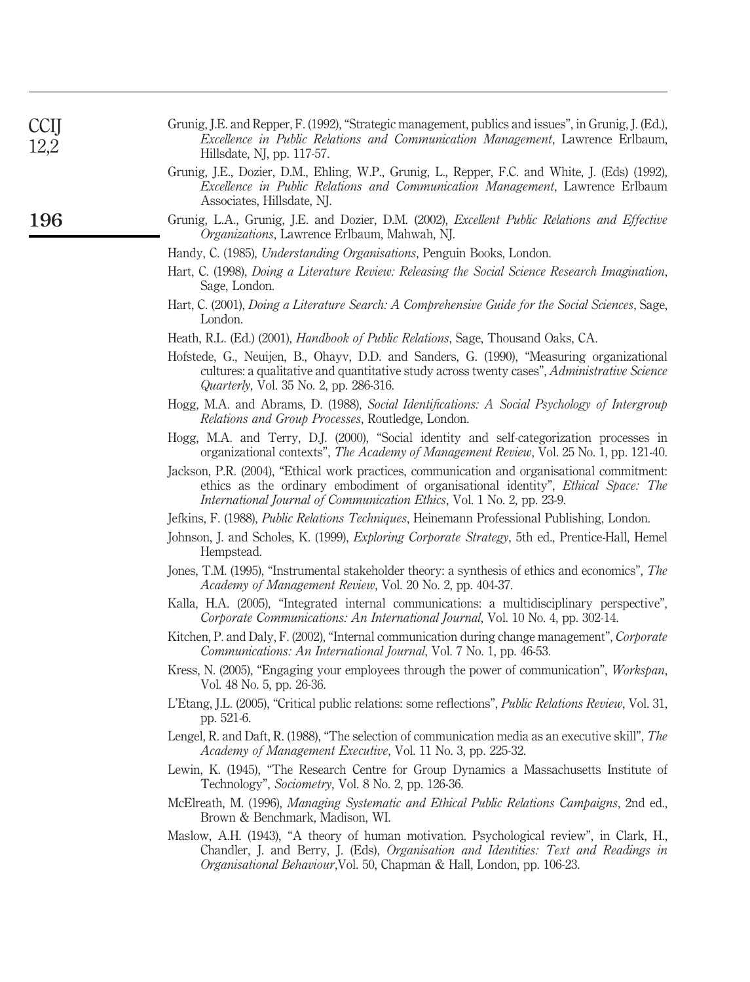| Grunig, J.E., Dozier, D.M., Ehling, W.P., Grunig, L., Repper, F.C. and White, J. (Eds) (1992),<br><i>Excellence in Public Relations and Communication Management</i> , Lawrence Erlbaum<br>Associates, Hillsdate, NJ.                     |
|-------------------------------------------------------------------------------------------------------------------------------------------------------------------------------------------------------------------------------------------|
| Grunig, L.A., Grunig, J.E. and Dozier, D.M. (2002), <i>Excellent Public Relations and Effective</i><br><i>Organizations</i> , Lawrence Erlbaum, Mahwah, NJ.                                                                               |
| Handy, C. (1985), <i>Understanding Organisations</i> , Penguin Books, London.                                                                                                                                                             |
| Hart, C. (1998), <i>Doing a Literature Review: Releasing the Social Science Research Imagination</i> ,<br>Sage, London.                                                                                                                   |
| Hart, C. (2001), <i>Doing a Literature Search: A Comprehensive Guide for the Social Sciences</i> , Sage,<br>London.                                                                                                                       |
| Heath, R.L. (Ed.) (2001), <i>Handbook of Public Relations</i> , Sage, Thousand Oaks, CA.                                                                                                                                                  |
| Hofstede, G., Neuijen, B., Ohayv, D.D. and Sanders, G. (1990), "Measuring organizational<br>cultures: a qualitative and quantitative study across twenty cases", Administrative Science<br><i>Quarterly</i> , Vol. 35 No. 2, pp. 286-316. |
| Hogg, M.A. and Abrams, D. (1988), Social Identifications: A Social Psychology of Intergroup<br><i>Relations and Group Processes, Routledge, London.</i>                                                                                   |
| Hogg, M.A. and Terry, D.J. (2000), "Social identity and self-categorization processes in<br>organizational contexts", <i>The Academy of Management Review</i> , Vol. 25 No. 1, pp. 121-40.                                                |
| Jackson, P.R. (2004), "Ethical work practices, communication and organisational commitment:                                                                                                                                               |

Grunig, J.E. and Repper, F. (1992), "Strategic management, publics and issues", in Grunig, J. (Ed.), Excellence in Public Relations and Communication Management, Lawrence Erlbaum,

Hillsdate, NJ, pp. 117-57.

- ethics as the ordinary embodiment of organisational identity", Ethical Space: The International Journal of Communication Ethics, Vol. 1 No. 2, pp. 23-9.
- Jefkins, F. (1988), Public Relations Techniques, Heinemann Professional Publishing, London.
- Johnson, J. and Scholes, K. (1999), Exploring Corporate Strategy, 5th ed., Prentice-Hall, Hemel Hempstead.
- Jones, T.M. (1995), "Instrumental stakeholder theory: a synthesis of ethics and economics", The Academy of Management Review, Vol. 20 No. 2, pp. 404-37.
- Kalla, H.A. (2005), "Integrated internal communications: a multidisciplinary perspective", Corporate Communications: An International Journal, Vol. 10 No. 4, pp. 302-14.
- Kitchen, P. and Daly, F. (2002), "Internal communication during change management", Corporate Communications: An International Journal, Vol. 7 No. 1, pp. 46-53.
- Kress, N. (2005), "Engaging your employees through the power of communication", Workspan, Vol. 48 No. 5, pp. 26-36.
- L'Etang, J.L. (2005), "Critical public relations: some reflections", Public Relations Review, Vol. 31, pp. 521-6.
- Lengel, R. and Daft, R. (1988), "The selection of communication media as an executive skill", The Academy of Management Executive, Vol. 11 No. 3, pp. 225-32.
- Lewin, K. (1945), "The Research Centre for Group Dynamics a Massachusetts Institute of Technology", Sociometry, Vol. 8 No. 2, pp. 126-36.
- McElreath, M. (1996), Managing Systematic and Ethical Public Relations Campaigns, 2nd ed., Brown & Benchmark, Madison, WI.
- Maslow, A.H. (1943), "A theory of human motivation. Psychological review", in Clark, H., Chandler, J. and Berry, J. (Eds), Organisation and Identities: Text and Readings in Organisational Behaviour,Vol. 50, Chapman & Hall, London, pp. 106-23.

CCIJ 12,2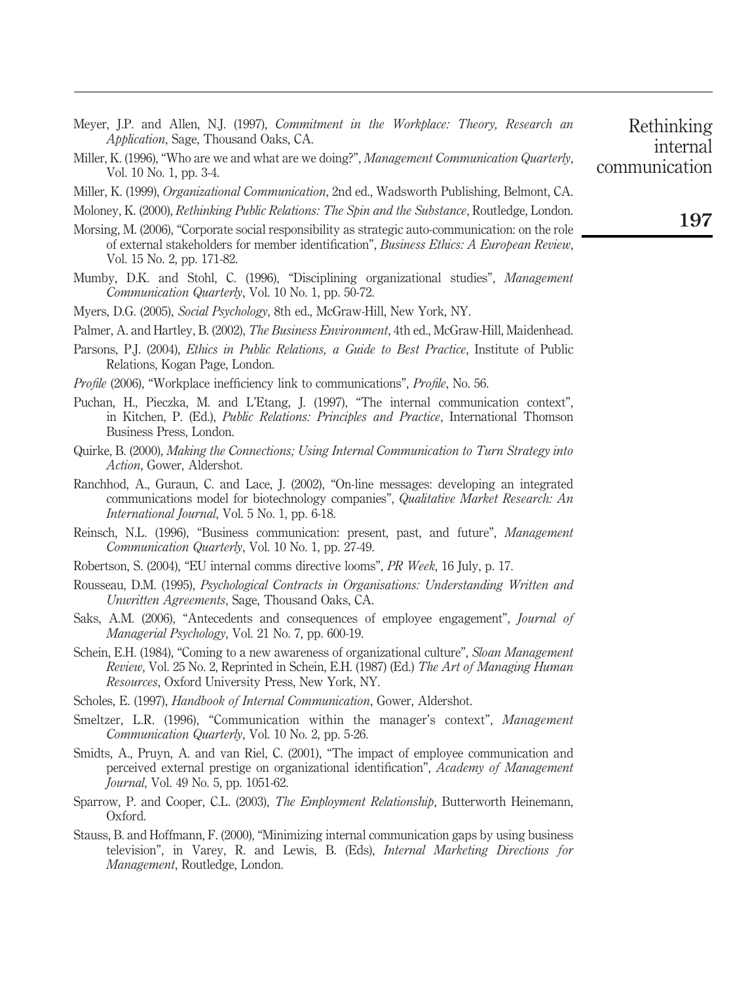|  |  |  | Meyer, J.P. and Allen, N.J. (1997), <i>Commitment in the Workplace: Theory, Research an</i> |  |  |  |
|--|--|--|---------------------------------------------------------------------------------------------|--|--|--|
|  |  |  | <i>Application</i> , Sage, Thousand Oaks, CA.                                               |  |  |  |

- Miller, K. (1996), "Who are we and what are we doing?", *Management Communication Quarterly*, Vol. 10 No. 1, pp. 3-4.
- Miller, K. (1999), Organizational Communication, 2nd ed., Wadsworth Publishing, Belmont, CA.
- Moloney, K. (2000), Rethinking Public Relations: The Spin and the Substance, Routledge, London.
- Morsing, M. (2006), "Corporate social responsibility as strategic auto-communication: on the role of external stakeholders for member identification", Business Ethics: A European Review, Vol. 15 No. 2, pp. 171-82.
- Mumby, D.K. and Stohl, C. (1996), "Disciplining organizational studies", Management Communication Quarterly, Vol. 10 No. 1, pp. 50-72.
- Myers, D.G. (2005), Social Psychology, 8th ed., McGraw-Hill, New York, NY.
- Palmer, A. and Hartley, B. (2002), The Business Environment, 4th ed., McGraw-Hill, Maidenhead.
- Parsons, P.J. (2004), Ethics in Public Relations, a Guide to Best Practice, Institute of Public Relations, Kogan Page, London.
- Profile (2006), "Workplace inefficiency link to communications", Profile, No. 56.
- Puchan, H., Pieczka, M. and L'Etang, J. (1997), "The internal communication context", in Kitchen, P. (Ed.), Public Relations: Principles and Practice, International Thomson Business Press, London.
- Quirke, B. (2000), Making the Connections; Using Internal Communication to Turn Strategy into Action, Gower, Aldershot.
- Ranchhod, A., Guraun, C. and Lace, J. (2002), "On-line messages: developing an integrated communications model for biotechnology companies", Qualitative Market Research: An International Journal, Vol. 5 No. 1, pp. 6-18.
- Reinsch, N.L. (1996), "Business communication: present, past, and future", Management Communication Quarterly, Vol. 10 No. 1, pp. 27-49.
- Robertson, S. (2004), "EU internal comms directive looms", PR Week, 16 July, p. 17.
- Rousseau, D.M. (1995), Psychological Contracts in Organisations: Understanding Written and Unwritten Agreements, Sage, Thousand Oaks, CA.
- Saks, A.M. (2006), "Antecedents and consequences of employee engagement", Journal of Managerial Psychology, Vol. 21 No. 7, pp. 600-19.
- Schein, E.H. (1984), "Coming to a new awareness of organizational culture", Sloan Management Review, Vol. 25 No. 2, Reprinted in Schein, E.H. (1987) (Ed.) The Art of Managing Human Resources, Oxford University Press, New York, NY.
- Scholes, E. (1997), Handbook of Internal Communication, Gower, Aldershot.
- Smeltzer, L.R. (1996), "Communication within the manager's context", *Management* Communication Quarterly, Vol. 10 No. 2, pp. 5-26.
- Smidts, A., Pruyn, A. and van Riel, C. (2001), "The impact of employee communication and perceived external prestige on organizational identification", Academy of Management Journal, Vol. 49 No. 5, pp. 1051-62.
- Sparrow, P. and Cooper, C.L. (2003), The Employment Relationship, Butterworth Heinemann, Oxford.
- Stauss, B. and Hoffmann, F. (2000), "Minimizing internal communication gaps by using business television", in Varey, R. and Lewis, B. (Eds), Internal Marketing Directions for Management, Routledge, London.

197

Rethinking internal